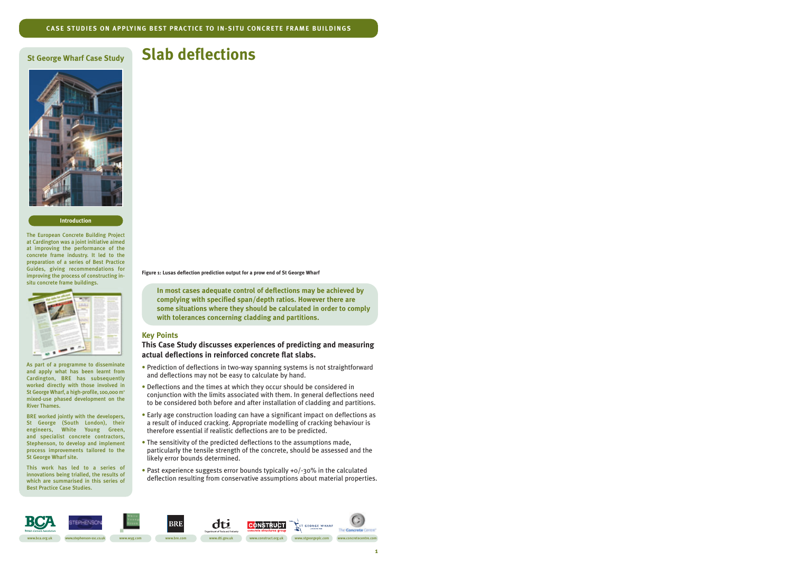### **St George Wharf Case Study**



### **Introduction**

The European Concrete Building Project at Cardington was a joint initiative aimed at improving the performance of the concrete frame industry. It led to the preparation of a series of Best Practice Guides, giving recommendations for improving the process of constructing insitu concrete frame buildings.



As part of a programme to disseminate and apply what has been learnt from Cardington, BRE has subsequently worked directly with those involved in St George Wharf, a high-profile, 100,000 m<sup>2</sup> mixed-use phased development on the River Thames.

BRE worked jointly with the developers, St George (South London), their engineers, White Young Green, and specialist concrete contractors, Stephenson, to develop and implement process improvements tailored to the St George Wharf site.

This work has led to a series of innovations being trialled, the results of which are summarised in this series of Best Practice Case Studies.

# **Slab deflections**

**Figure 1: Lusas deflection prediction output for a prow end of St George Wharf**

**In most cases adequate control of deflections may be achieved by complying with specified span/depth ratios. However there are some situations where they should be calculated in order to comply with tolerances concerning cladding and partitions.** 

### **Key Points**

**This Case Study discusses experiences of predicting and measuring actual deflections in reinforced concrete flat slabs.** 

- Prediction of deflections in two-way spanning systems is not straightforward and deflections may not be easy to calculate by hand.
- Deflections and the times at which they occur should be considered in conjunction with the limits associated with them. In general deflections need to be considered both before and after installation of cladding and partitions.
- Early age construction loading can have a significant impact on deflections as a result of induced cracking. Appropriate modelling of cracking behaviour is therefore essential if realistic deflections are to be predicted.
- The sensitivity of the predicted deflections to the assumptions made, particularly the tensile strength of the concrete, should be assessed and the likely error bounds determined.
- Past experience suggests error bounds typically +0/-30% in the calculated deflection resulting from conservative assumptions about material properties.

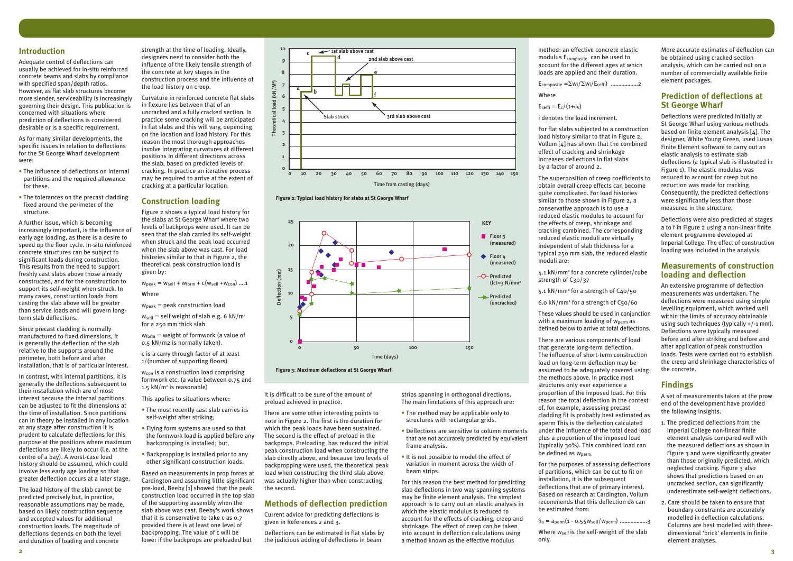### **Introduction**

Adequate control of deflections can usually be achieved for in-situ reinforced concrete beams and slabs by compliance with specified span/depth ratios. However, as flat slab structures become more slender, serviceability is increasingly governing their design. This publication is concerned with situations where prediction of deflections is considered desirable or is a specific requirement.

As for many similar developments, the specific issues in relation to deflections for the St George Wharf development were:

- The influence of deflections on internal partitions and the required allowance for these.
- The tolerances on the precast cladding fixed around the perimeter of the structure.

A further issue, which is becoming increasingly important, is the influence of early age loading, as there is a desire to speed up the floor cycle. In-situ reinforced concrete structures can be subject to significant loads during construction. This results from the need to support freshly cast slabs above those already constructed, and for the construction to support its self-weight when struck. In many cases, construction loads from casting the slab above will be greater than service loads and will govern longterm slab deflections.

Since precast cladding is normally manufactured to fixed dimensions, it is generally the deflection of the slab relative to the supports around the perimeter, both before and after installation, that is of particular interest.

In contrast, with internal partitions, it is generally the deflections subsequent to their installation which are of most interest because the internal partitions can be adjusted to fit the dimensions at the time of installation. Since partitions can in theory be installed in any location at any stage after construction it is prudent to calculate deflections for this purpose at the positions where maximum deflections are likely to occur (i.e. at the centre of a bay). A worst-case load history should be assumed, which could involve less early age loading so that greater deflection occurs at a later stage.

 $w_{self}$  = self weight of slab e.g. 6 kN/m<sup>2</sup> for a 250 mm thick slab

 $w_{form}$  = weight of formwork (a value of 0.5 kN/m2 is normally taken).

The load history of the slab cannot be predicted precisely but, in practice, reasonable assumptions may be made, based on likely construction sequence and accepted values for additional construction loads. The magnitude of deflections depends on both the level and duration of loading and concrete

strength at the time of loading. Ideally, designers need to consider both the influence of the likely tensile strength of the concrete at key stages in the construction process and the influence of the load history on creep.

> 4.1 kN/mm2 for a concrete cylinder/cube strength of C30/37

There are various components of load that generate long-term deflection. The influence of short-term construction load on long-term deflection may be assumed to be adequately covered using the methods above. In practice most structures only ever experience a proportion of the imposed load. For this reason the total deflection in the context of, for example, assessing precast cladding fit is probably best estimated as aperm This is the deflection calculated under the influence of the total dead load plus a proportion of the imposed load (typically 30%). This combined load can be defined as W<sub>perm.</sub>

Curvature in reinforced concrete flat slabs in flexure lies between that of an uncracked and a fully cracked section. In practice some cracking will be anticipated in flat slabs and this will vary, depending on the location and load history. For this reason the most thorough approaches involve integrating curvatures at different positions in different directions across the slab, based on predicted levels of cracking. In practice an iterative process may be required to arrive at the extent of cracking at a particular location.

## **Construction loading**

Figure 2 shows a typical load history for the slabs at St George Wharf where two levels of backprops were used. It can be seen that the slab carried its self-weight when struck and the peak load occurred when the slab above was cast. For load histories similar to that in Figure 2, the theoretical peak construction load is given by:

 $W$ peak = Wself + Wform +  $C(W_{self} + W_{con})$  ....1 **Where** 

> Where wself is the self-weight of the slab only.

wpeak = peak construction load

c is a carry through factor of at least 1/(number of supporting floors)

W<sub>con</sub> is a construction load comprising formwork etc. (a value between 0.75 and 1.5  $kN/m^2$  is reasonable)

This applies to situations where:

- The most recently cast slab carries its self-weight after striking;
- Flying form systems are used so that the formwork load is applied before any backpropping is installed; but,
- Backpropping is installed prior to any other significant construction loads.

Based on measurements in prop forces at Cardington and assuming little significant pre-load, Beeby [1] showed that the peak construction load occurred in the top slab of the supporting assembly when the slab above was cast. Beeby's work shows that it is conservative to take c as 0.7 provided there is at least one level of backpropping. The value of c will be lower if the backprops are preloaded but

method: an effective concrete elastic modulus Ecomposite can be used to account for the different ages at which loads are applied and their duration.

Ecomposite =wi/wi/Eceffi) ………………2

Where

### $E_{\text{ceffi}} = E_{\text{c}}/(1+\phi_{\text{i}})$

i denotes the load increment.

For flat slabs subjected to a construction load history similar to that in Figure 2, Vollum [4] has shown that the combined effect of cracking and shrinkage increases deflections in flat slabs by a factor of around 2.

The superposition of creep coefficients to obtain overall creep effects can become quite complicated. For load histories similar to those shown in Figure 2, a conservative approach is to use a reduced elastic modulus to account for the effects of creep, shrinkage and cracking combined. The corresponding reduced elastic moduli are virtually independent of slab thickness for a typical 250 mm slab, the reduced elastic moduli are:

5.1 kN/mm2 for a strength of C40/50

6.0 kN/mm2 for a strength of C50/60

These values should be used in conjunction with a maximum loading of  $w_{\text{perm}}$  as defined below to arrive at total deflections.

For the purposes of assessing deflections of partitions, which can be cut to fit on installation, it is the subsequent deflections that are of primary interest. Based on research at Cardington, Vollum recommends that this deflection  $d\delta$  can be estimated from:

 $\delta_a = a_{\text{perm}}(1 - 0.55W_{\text{self}}/W_{\text{perm}})$  ..................3

More accurate estimates of deflection can be obtained using cracked section analysis, which can be carried out on a number of commercially available finite element packages.

### **Prediction of deflections at St George Wharf**

Deflections were predicted initially at St George Wharf using various methods based on finite element analysis [4]. The designer, White Young Green, used Lusas Finite Element software to carry out an elastic analysis to estimate slab deflections (a typical slab is illustrated in Figure 1). The elastic modulus was reduced to account for creep but no reduction was made for cracking. Consequently, the predicted deflections were significantly less than those measured in the structure.

Deflections were also predicted at stages a to f in Figure 2 using a non-linear finite element programme developed at Imperial College. The effect of construction loading was included in the analysis.

### **Measurements of construction loading and deflection**

An extensive programme of deflection measurements was undertaken. The deflections were measured using simple levelling equipment, which worked well within the limits of accuracy obtainable using such techniques (typically +/-1 mm). Deflections were typically measured before and after striking and before and after application of peak construction loads. Tests were carried out to establish the creep and shrinkage characteristics of the concrete.

### **Findings**

A set of measurements taken at the prow end of the development have provided the following insights.

- 1. The predicted deflections from the Imperial College non-linear finite element analysis compared well with the measured deflections as shown in Figure 3 and were significantly greater than those originally predicted, which neglected cracking. Figure 3 also shows that predictions based on an uncracked section, can significantly underestimate self-weight deflections.
- 2. Care should be taken to ensure that boundary constraints are accurately modelled in deflection calculations. Columns are best modelled with threedimensional 'brick' elements in finite element analyses.





it is difficult to be sure of the amount of preload achieved in practice.

There are some other interesting points to note in Figure 2. The first is the duration for which the peak loads have been sustained. The second is the effect of preload in the backprops. Preloading has reduced the initial peak construction load when constructing the slab directly above, and because two levels of backpropping were used, the theoretical peak load when constructing the third slab above was actually higher than when constructing the second.

# **Methods of deflection prediction**

Current advice for predicting deflections is given in References 2 and 3.

Deflections can be estimated in flat slabs by the judicious adding of deflections in beam

strips spanning in orthogonal directions. The main limitations of this approach are:

- The method may be applicable only to structures with rectangular grids.
- Deflections are sensitive to column moments that are not accurately predicted by equivalent frame analysis.
- It is not possible to model the effect of variation in moment across the width of beam strips.

For this reason the best method for predicting slab deflections in two way spanning systems may be finite element analysis. The simplest approach is to carry out an elastic analysis in which the elastic modulus is reduced to account for the effects of cracking, creep and shrinkage. The effect of creep can be taken into account in deflection calculations using a method known as the effective modulus